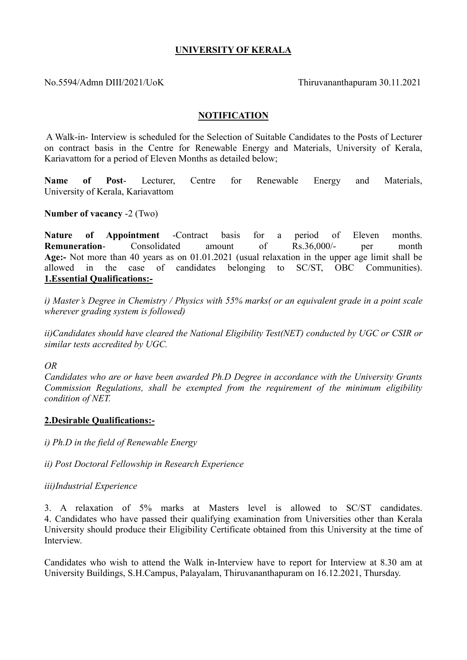# UNIVERSITY OF KERALA

No.5594/Admn DIII/2021/UoK Thiruvananthapuram 30.11.2021

## **NOTIFICATION**

 A Walk-in- Interview is scheduled for the Selection of Suitable Candidates to the Posts of Lecturer on contract basis in the Centre for Renewable Energy and Materials, University of Kerala, Kariavattom for a period of Eleven Months as detailed below;

Name of Post- Lecturer, Centre for Renewable Energy and Materials, University of Kerala, Kariavattom

### Number of vacancy -2 (Two)

Nature of Appointment -Contract basis for a period of Eleven months. Remuneration- Consolidated amount of Rs.36,000/- per month Age:- Not more than 40 years as on 01.01.2021 (usual relaxation in the upper age limit shall be allowed in the case of candidates belonging to SC/ST, OBC Communities). 1.Essential Qualifications:-

i) Master's Degree in Chemistry / Physics with 55% marks( or an equivalent grade in a point scale wherever grading system is followed)

ii)Candidates should have cleared the National Eligibility Test(NET) conducted by UGC or CSIR or similar tests accredited by UGC.

#### OR

Candidates who are or have been awarded Ph.D Degree in accordance with the University Grants Commission Regulations, shall be exempted from the requirement of the minimum eligibility condition of NET.

#### 2.Desirable Qualifications:-

i) Ph.D in the field of Renewable Energy

ii) Post Doctoral Fellowship in Research Experience

iii)Industrial Experience

3. A relaxation of 5% marks at Masters level is allowed to SC/ST candidates. 4. Candidates who have passed their qualifying examination from Universities other than Kerala University should produce their Eligibility Certificate obtained from this University at the time of Interview.

Candidates who wish to attend the Walk in-Interview have to report for Interview at 8.30 am at University Buildings, S.H.Campus, Palayalam, Thiruvananthapuram on 16.12.2021, Thursday.